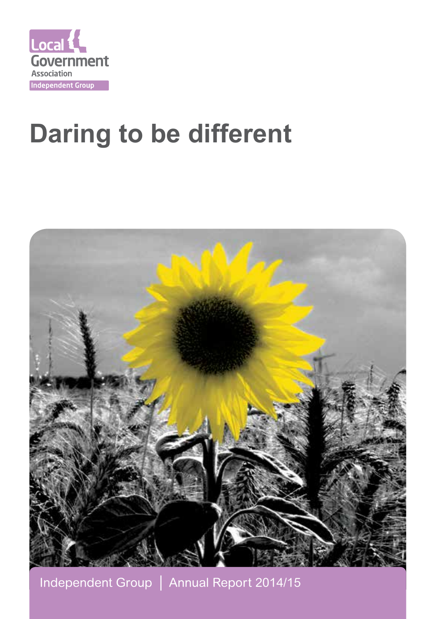

# **Daring to be different**



Independent Group │ Annual Report 2014/15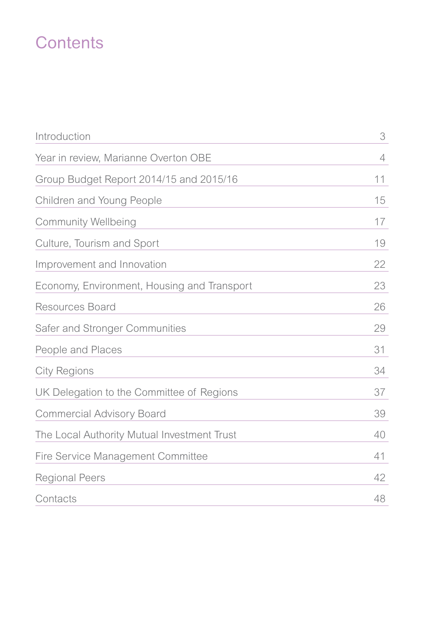# **Contents**

| Introduction                                | 3  |
|---------------------------------------------|----|
| Year in review, Marianne Overton OBE        | 4  |
| Group Budget Report 2014/15 and 2015/16     | 11 |
| Children and Young People                   | 15 |
| <b>Community Wellbeing</b>                  | 17 |
| Culture, Tourism and Sport                  | 19 |
| Improvement and Innovation                  | 22 |
| Economy, Environment, Housing and Transport | 23 |
| Resources Board                             | 26 |
| Safer and Stronger Communities              | 29 |
| People and Places                           | 31 |
| <b>City Regions</b>                         | 34 |
| UK Delegation to the Committee of Regions   | 37 |
| <b>Commercial Advisory Board</b>            | 39 |
| The Local Authority Mutual Investment Trust | 40 |
| Fire Service Management Committee           | 41 |
| <b>Regional Peers</b>                       | 42 |
| Contacts                                    | 48 |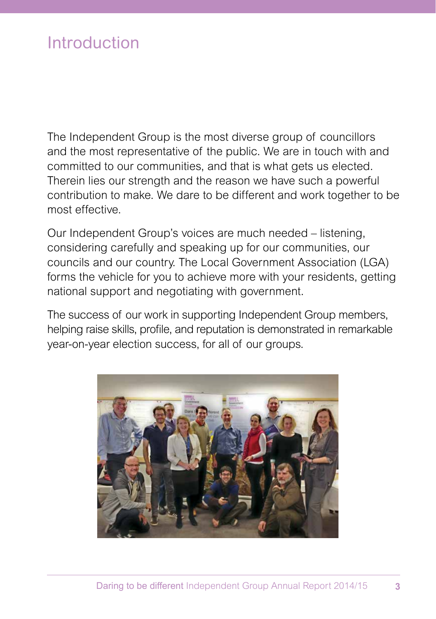### Introduction

The Independent Group is the most diverse group of councillors and the most representative of the public. We are in touch with and committed to our communities, and that is what gets us elected. Therein lies our strength and the reason we have such a powerful contribution to make. We dare to be different and work together to be most effective.

Our Independent Group's voices are much needed – listening, considering carefully and speaking up for our communities, our councils and our country. The Local Government Association (LGA) forms the vehicle for you to achieve more with your residents, getting national support and negotiating with government.

The success of our work in supporting Independent Group members, helping raise skills, profile, and reputation is demonstrated in remarkable year-on-year election success, for all of our groups.

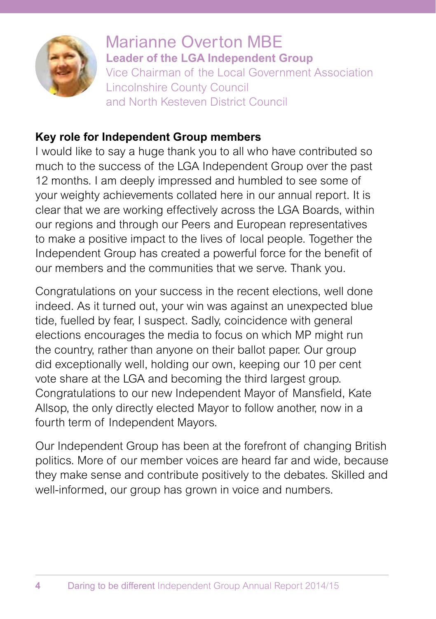

Marianne Overton MBE **Leader of the LGA Independent Group** Vice Chairman of the Local Government Association Lincolnshire County Council and North Kesteven District Council

#### **Key role for Independent Group members**

I would like to say a huge thank you to all who have contributed so much to the success of the LGA Independent Group over the past 12 months. I am deeply impressed and humbled to see some of your weighty achievements collated here in our annual report. It is clear that we are working effectively across the LGA Boards, within our regions and through our Peers and European representatives to make a positive impact to the lives of local people. Together the Independent Group has created a powerful force for the benefit of our members and the communities that we serve. Thank you.

Congratulations on your success in the recent elections, well done indeed. As it turned out, your win was against an unexpected blue tide, fuelled by fear, I suspect. Sadly, coincidence with general elections encourages the media to focus on which MP might run the country, rather than anyone on their ballot paper. Our group did exceptionally well, holding our own, keeping our 10 per cent vote share at the LGA and becoming the third largest group. Congratulations to our new Independent Mayor of Mansfield, Kate Allsop, the only directly elected Mayor to follow another, now in a fourth term of Independent Mayors.

Our Independent Group has been at the forefront of changing British politics. More of our member voices are heard far and wide, because they make sense and contribute positively to the debates. Skilled and well-informed, our group has grown in voice and numbers.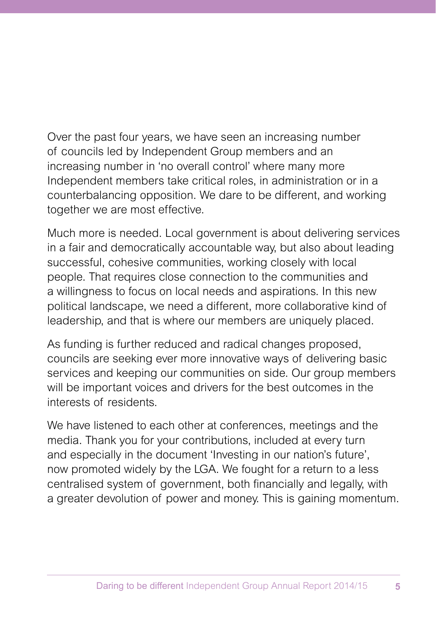Over the past four years, we have seen an increasing number of councils led by Independent Group members and an increasing number in 'no overall control' where many more Independent members take critical roles, in administration or in a counterbalancing opposition. We dare to be different, and working together we are most effective.

Much more is needed. Local government is about delivering services in a fair and democratically accountable way, but also about leading successful, cohesive communities, working closely with local people. That requires close connection to the communities and a willingness to focus on local needs and aspirations. In this new political landscape, we need a different, more collaborative kind of leadership, and that is where our members are uniquely placed.

As funding is further reduced and radical changes proposed, councils are seeking ever more innovative ways of delivering basic services and keeping our communities on side. Our group members will be important voices and drivers for the best outcomes in the interests of residents.

We have listened to each other at conferences, meetings and the media. Thank you for your contributions, included at every turn and especially in the document 'Investing in our nation's future', now promoted widely by the LGA. We fought for a return to a less centralised system of government, both financially and legally, with a greater devolution of power and money. This is gaining momentum.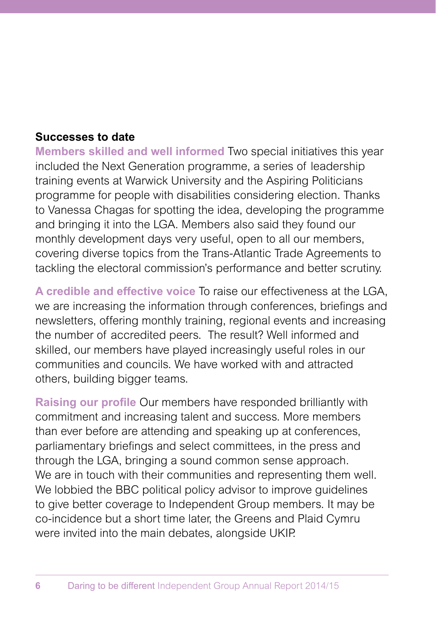#### **Successes to date**

**Members skilled and well informed** Two special initiatives this year included the Next Generation programme, a series of leadership training events at Warwick University and the Aspiring Politicians programme for people with disabilities considering election. Thanks to Vanessa Chagas for spotting the idea, developing the programme and bringing it into the LGA. Members also said they found our monthly development days very useful, open to all our members, covering diverse topics from the Trans-Atlantic Trade Agreements to tackling the electoral commission's performance and better scrutiny.

**A credible and effective voice** To raise our effectiveness at the LGA, we are increasing the information through conferences, briefings and newsletters, offering monthly training, regional events and increasing the number of accredited peers. The result? Well informed and skilled, our members have played increasingly useful roles in our communities and councils. We have worked with and attracted others, building bigger teams.

**Raising our profile** Our members have responded brilliantly with commitment and increasing talent and success. More members than ever before are attending and speaking up at conferences, parliamentary briefings and select committees, in the press and through the LGA, bringing a sound common sense approach. We are in touch with their communities and representing them well. We lobbied the BBC political policy advisor to improve guidelines to give better coverage to Independent Group members. It may be co-incidence but a short time later, the Greens and Plaid Cymru were invited into the main debates, alongside UKIP.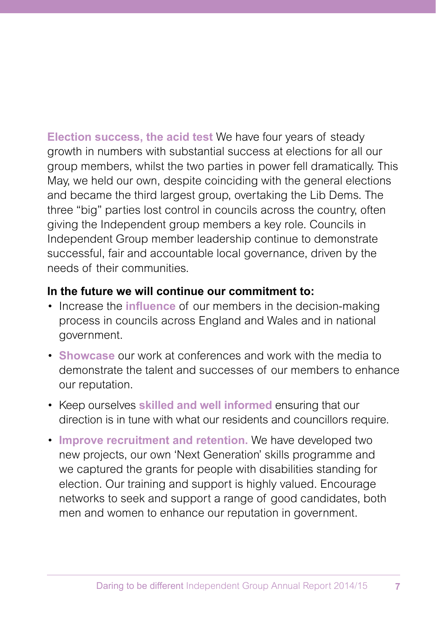**Election success, the acid test** We have four years of steady growth in numbers with substantial success at elections for all our group members, whilst the two parties in power fell dramatically. This May, we held our own, despite coinciding with the general elections and became the third largest group, overtaking the Lib Dems. The three "big" parties lost control in councils across the country, often giving the Independent group members a key role. Councils in Independent Group member leadership continue to demonstrate successful, fair and accountable local governance, driven by the needs of their communities.

#### **In the future we will continue our commitment to:**

- Increase the **influence** of our members in the decision-making process in councils across England and Wales and in national government.
- **Showcase** our work at conferences and work with the media to demonstrate the talent and successes of our members to enhance our reputation.
- Keep ourselves **skilled and well informed** ensuring that our direction is in tune with what our residents and councillors require.
- **Improve recruitment and retention.** We have developed two new projects, our own 'Next Generation' skills programme and we captured the grants for people with disabilities standing for election. Our training and support is highly valued. Encourage networks to seek and support a range of good candidates, both men and women to enhance our reputation in government.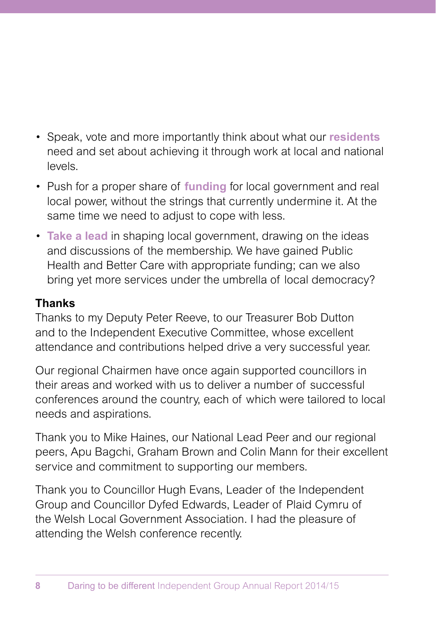- Speak, vote and more importantly think about what our **residents** need and set about achieving it through work at local and national levels.
- Push for a proper share of **funding** for local government and real local power, without the strings that currently undermine it. At the same time we need to adjust to cope with less.
- **Take a lead** in shaping local government, drawing on the ideas and discussions of the membership. We have gained Public Health and Better Care with appropriate funding; can we also bring yet more services under the umbrella of local democracy?

### **Thanks**

Thanks to my Deputy Peter Reeve, to our Treasurer Bob Dutton and to the Independent Executive Committee, whose excellent attendance and contributions helped drive a very successful year.

Our regional Chairmen have once again supported councillors in their areas and worked with us to deliver a number of successful conferences around the country, each of which were tailored to local needs and aspirations.

Thank you to Mike Haines, our National Lead Peer and our regional peers, Apu Bagchi, Graham Brown and Colin Mann for their excellent service and commitment to supporting our members.

Thank you to Councillor Hugh Evans, Leader of the Independent Group and Councillor Dyfed Edwards, Leader of Plaid Cymru of the Welsh Local Government Association. I had the pleasure of attending the Welsh conference recently.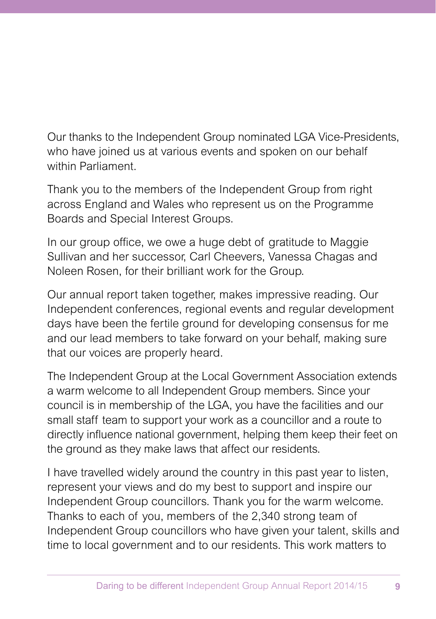Our thanks to the Independent Group nominated LGA Vice-Presidents, who have joined us at various events and spoken on our behalf within Parliament.

Thank you to the members of the Independent Group from right across England and Wales who represent us on the Programme Boards and Special Interest Groups.

In our group office, we owe a huge debt of gratitude to Maggie Sullivan and her successor, Carl Cheevers, Vanessa Chagas and Noleen Rosen, for their brilliant work for the Group.

Our annual report taken together, makes impressive reading. Our Independent conferences, regional events and regular development days have been the fertile ground for developing consensus for me and our lead members to take forward on your behalf, making sure that our voices are properly heard.

The Independent Group at the Local Government Association extends a warm welcome to all Independent Group members. Since your council is in membership of the LGA, you have the facilities and our small staff team to support your work as a councillor and a route to directly influence national government, helping them keep their feet on the ground as they make laws that affect our residents.

I have travelled widely around the country in this past year to listen, represent your views and do my best to support and inspire our Independent Group councillors. Thank you for the warm welcome. Thanks to each of you, members of the 2,340 strong team of Independent Group councillors who have given your talent, skills and time to local government and to our residents. This work matters to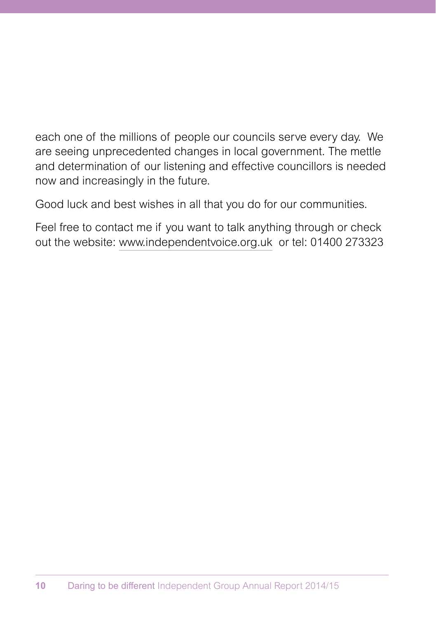each one of the millions of people our councils serve every day. We are seeing unprecedented changes in local government. The mettle and determination of our listening and effective councillors is needed now and increasingly in the future.

Good luck and best wishes in all that you do for our communities.

Feel free to contact me if you want to talk anything through or check out the website: www.independentvoice.org.uk or tel: 01400 273323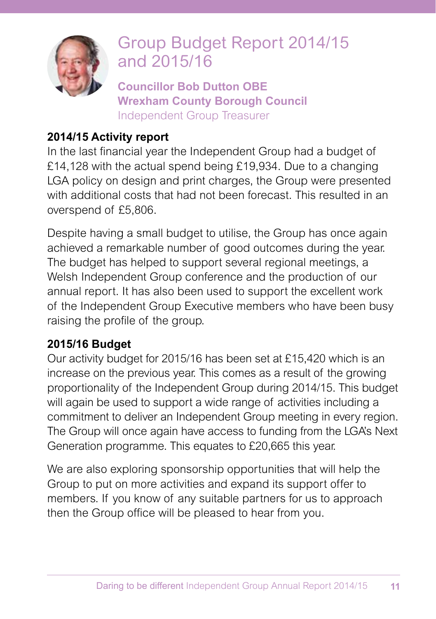

# Group Budget Report 2014/15 and 2015/16

**Councillor Bob Dutton OBE Wrexham County Borough Council** Independent Group Treasurer

### **2014/15 Activity report**

In the last financial year the Independent Group had a budget of £14,128 with the actual spend being £19,934. Due to a changing LGA policy on design and print charges, the Group were presented with additional costs that had not been forecast. This resulted in an overspend of £5,806.

Despite having a small budget to utilise, the Group has once again achieved a remarkable number of good outcomes during the year. The budget has helped to support several regional meetings, a Welsh Independent Group conference and the production of our annual report. It has also been used to support the excellent work of the Independent Group Executive members who have been busy raising the profile of the group.

### **2015/16 Budget**

Our activity budget for 2015/16 has been set at £15,420 which is an increase on the previous year. This comes as a result of the growing proportionality of the Independent Group during 2014/15. This budget will again be used to support a wide range of activities including a commitment to deliver an Independent Group meeting in every region. The Group will once again have access to funding from the LGA's Next Generation programme. This equates to £20,665 this year.

We are also exploring sponsorship opportunities that will help the Group to put on more activities and expand its support offer to members. If you know of any suitable partners for us to approach then the Group office will be pleased to hear from you.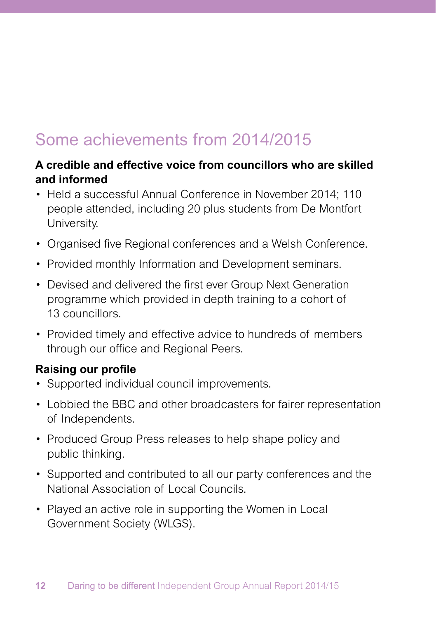# Some achievements from 2014/2015

#### **A credible and effective voice from councillors who are skilled and informed**

- Held a successful Annual Conference in November 2014; 110 people attended, including 20 plus students from De Montfort University.
- Organised five Regional conferences and a Welsh Conference.
- Provided monthly Information and Development seminars.
- Devised and delivered the first ever Group Next Generation programme which provided in depth training to a cohort of 13 councillors.
- Provided timely and effective advice to hundreds of members through our office and Regional Peers.

### **Raising our profile**

- Supported individual council improvements.
- Lobbied the BBC and other broadcasters for fairer representation of Independents.
- Produced Group Press releases to help shape policy and public thinking.
- Supported and contributed to all our party conferences and the National Association of Local Councils.
- Played an active role in supporting the Women in Local Government Society (WLGS).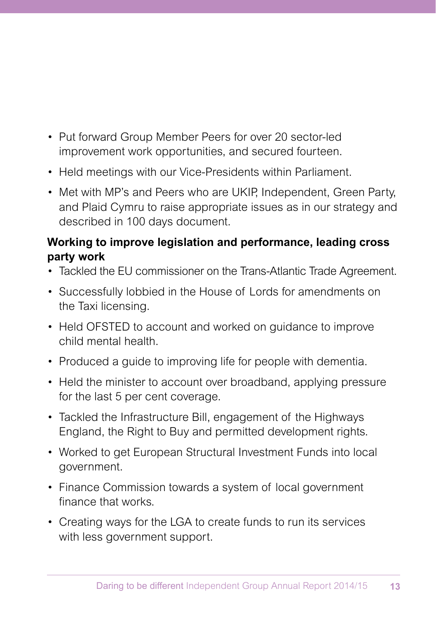- Put forward Group Member Peers for over 20 sector-led improvement work opportunities, and secured fourteen.
- Held meetings with our Vice-Presidents within Parliament.
- Met with MP's and Peers who are UKIP, Independent, Green Party, and Plaid Cymru to raise appropriate issues as in our strategy and described in 100 days document.

#### **Working to improve legislation and performance, leading cross party work**

- Tackled the EU commissioner on the Trans-Atlantic Trade Agreement.
- Successfully lobbied in the House of Lords for amendments on the Taxi licensing.
- Held OFSTED to account and worked on guidance to improve child mental health.
- Produced a guide to improving life for people with dementia.
- Held the minister to account over broadband, applying pressure for the last 5 per cent coverage.
- Tackled the Infrastructure Bill, engagement of the Highways England, the Right to Buy and permitted development rights.
- Worked to get European Structural Investment Funds into local government.
- Finance Commission towards a system of local government finance that works.
- Creating ways for the LGA to create funds to run its services with less government support.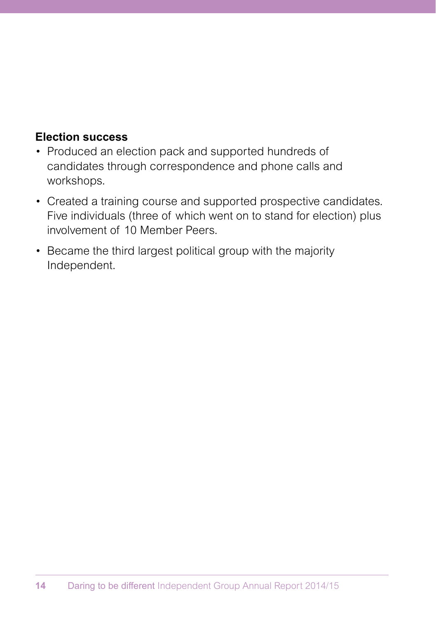#### **Election success**

- Produced an election pack and supported hundreds of candidates through correspondence and phone calls and workshops.
- Created a training course and supported prospective candidates. Five individuals (three of which went on to stand for election) plus involvement of 10 Member Peers.
- Became the third largest political group with the majority Independent.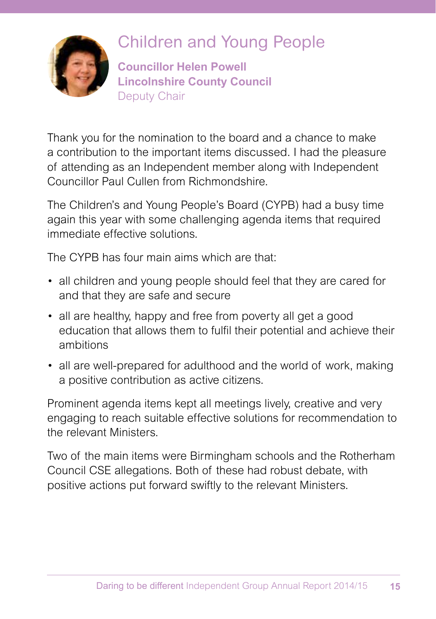

# Children and Young People

**Councillor Helen Powell Lincolnshire County Council** Deputy Chair

Thank you for the nomination to the board and a chance to make a contribution to the important items discussed. I had the pleasure of attending as an Independent member along with Independent Councillor Paul Cullen from Richmondshire.

The Children's and Young People's Board (CYPB) had a busy time again this year with some challenging agenda items that required immediate effective solutions.

The CYPB has four main aims which are that:

- all children and young people should feel that they are cared for and that they are safe and secure
- all are healthy, happy and free from poverty all get a good education that allows them to fulfil their potential and achieve their ambitions
- all are well-prepared for adulthood and the world of work, making a positive contribution as active citizens.

Prominent agenda items kept all meetings lively, creative and very engaging to reach suitable effective solutions for recommendation to the relevant Ministers.

Two of the main items were Birmingham schools and the Rotherham Council CSE allegations. Both of these had robust debate, with positive actions put forward swiftly to the relevant Ministers.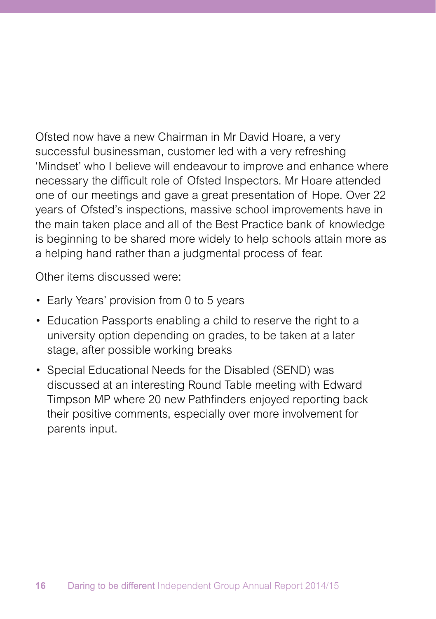Ofsted now have a new Chairman in Mr David Hoare, a very successful businessman, customer led with a very refreshing 'Mindset' who I believe will endeavour to improve and enhance where necessary the difficult role of Ofsted Inspectors. Mr Hoare attended one of our meetings and gave a great presentation of Hope. Over 22 years of Ofsted's inspections, massive school improvements have in the main taken place and all of the Best Practice bank of knowledge is beginning to be shared more widely to help schools attain more as a helping hand rather than a judgmental process of fear.

Other items discussed were:

- Early Years' provision from 0 to 5 years
- Education Passports enabling a child to reserve the right to a university option depending on grades, to be taken at a later stage, after possible working breaks
- Special Educational Needs for the Disabled (SEND) was discussed at an interesting Round Table meeting with Edward Timpson MP where 20 new Pathfinders enjoyed reporting back their positive comments, especially over more involvement for parents input.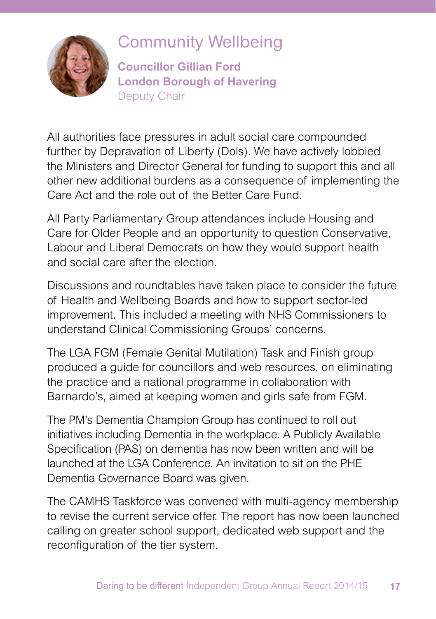

### Community Wellbeing

**Councillor Gillian Ford London Borough of Havering** Deputy Chair

All authorities face pressures in adult social care compounded further by Depravation of Liberty (Dols). We have actively lobbied the Ministers and Director General for funding to support this and all other new additional burdens as a consequence of implementing the Care Act and the role out of the Better Care Fund.

All Party Parliamentary Group attendances include Housing and Care for Older People and an opportunity to question Conservative, Labour and Liberal Democrats on how they would support health and social care after the election.

Discussions and roundtables have taken place to consider the future of Health and Wellbeing Boards and how to support sector-led improvement. This included a meeting with NHS Commissioners to understand Clinical Commissioning Groups' concerns.

The LGA FGM (Female Genital Mutilation) Task and Finish group produced a guide for councillors and web resources, on eliminating the practice and a national programme in collaboration with Barnardo's, aimed at keeping women and girls safe from FGM.

The PM's Dementia Champion Group has continued to roll out initiatives including Dementia in the workplace. A Publicly Available Specification (PAS) on dementia has now been written and will be launched at the LGA Conference. An invitation to sit on the PHE Dementia Governance Board was given.

The CAMHS Taskforce was convened with multi-agency membership to revise the current service offer. The report has now been launched calling on greater school support, dedicated web support and the reconfiguration of the tier system.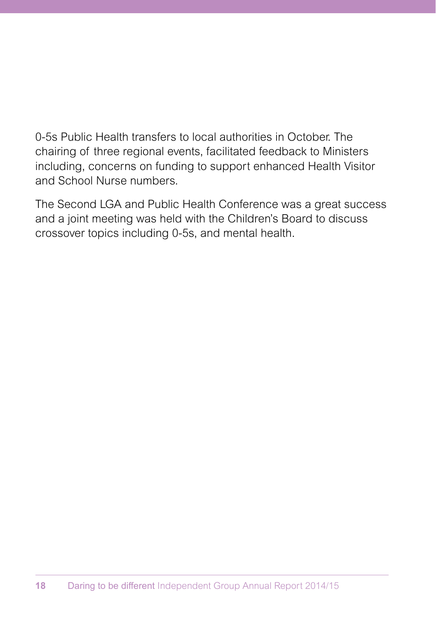0-5s Public Health transfers to local authorities in October. The chairing of three regional events, facilitated feedback to Ministers including, concerns on funding to support enhanced Health Visitor and School Nurse numbers.

The Second LGA and Public Health Conference was a great success and a joint meeting was held with the Children's Board to discuss crossover topics including 0-5s, and mental health.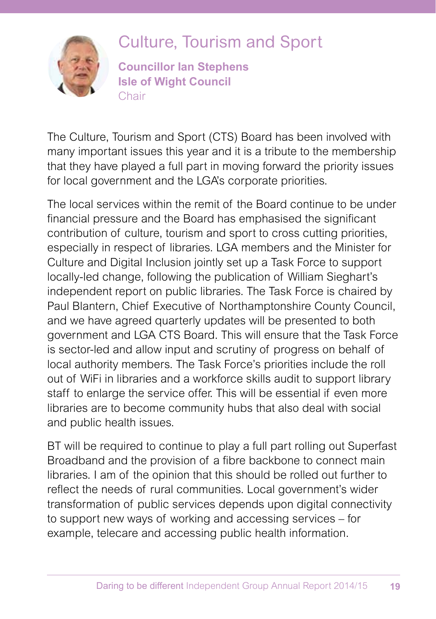

# Culture, Tourism and Sport

**Councillor Ian Stephens Isle of Wight Council** Chair

The Culture, Tourism and Sport (CTS) Board has been involved with many important issues this year and it is a tribute to the membership that they have played a full part in moving forward the priority issues for local government and the LGA's corporate priorities.

The local services within the remit of the Board continue to be under financial pressure and the Board has emphasised the significant contribution of culture, tourism and sport to cross cutting priorities, especially in respect of libraries. LGA members and the Minister for Culture and Digital Inclusion jointly set up a Task Force to support locally-led change, following the publication of William Sieghart's independent report on public libraries. The Task Force is chaired by Paul Blantern, Chief Executive of Northamptonshire County Council, and we have agreed quarterly updates will be presented to both government and LGA CTS Board. This will ensure that the Task Force is sector-led and allow input and scrutiny of progress on behalf of local authority members. The Task Force's priorities include the roll out of WiFi in libraries and a workforce skills audit to support library staff to enlarge the service offer. This will be essential if even more libraries are to become community hubs that also deal with social and public health issues.

BT will be required to continue to play a full part rolling out Superfast Broadband and the provision of a fibre backbone to connect main libraries. I am of the opinion that this should be rolled out further to reflect the needs of rural communities. Local government's wider transformation of public services depends upon digital connectivity to support new ways of working and accessing services – for example, telecare and accessing public health information.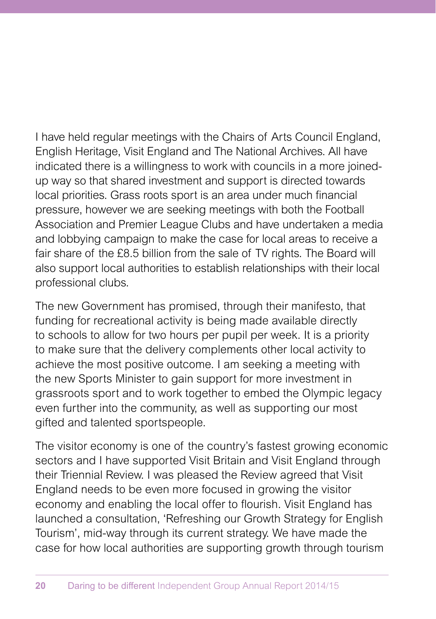I have held regular meetings with the Chairs of Arts Council England, English Heritage, Visit England and The National Archives. All have indicated there is a willingness to work with councils in a more joinedup way so that shared investment and support is directed towards local priorities. Grass roots sport is an area under much financial pressure, however we are seeking meetings with both the Football Association and Premier League Clubs and have undertaken a media and lobbying campaign to make the case for local areas to receive a fair share of the £8.5 billion from the sale of TV rights. The Board will also support local authorities to establish relationships with their local professional clubs.

The new Government has promised, through their manifesto, that funding for recreational activity is being made available directly to schools to allow for two hours per pupil per week. It is a priority to make sure that the delivery complements other local activity to achieve the most positive outcome. I am seeking a meeting with the new Sports Minister to gain support for more investment in grassroots sport and to work together to embed the Olympic legacy even further into the community, as well as supporting our most gifted and talented sportspeople.

The visitor economy is one of the country's fastest growing economic sectors and I have supported Visit Britain and Visit England through their Triennial Review. I was pleased the Review agreed that Visit England needs to be even more focused in growing the visitor economy and enabling the local offer to flourish. Visit England has launched a consultation, 'Refreshing our Growth Strategy for English Tourism', mid-way through its current strategy. We have made the case for how local authorities are supporting growth through tourism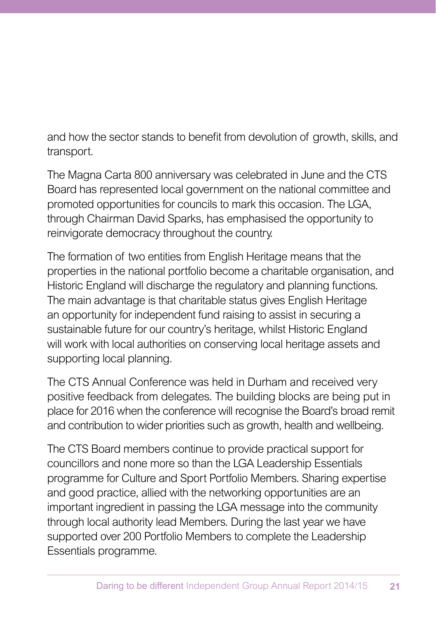and how the sector stands to benefit from devolution of growth, skills, and transport.

The Magna Carta 800 anniversary was celebrated in June and the CTS Board has represented local government on the national committee and promoted opportunities for councils to mark this occasion. The LGA, through Chairman David Sparks, has emphasised the opportunity to reinvigorate democracy throughout the country.

The formation of two entities from English Heritage means that the properties in the national portfolio become a charitable organisation, and Historic England will discharge the regulatory and planning functions. The main advantage is that charitable status gives English Heritage an opportunity for independent fund raising to assist in securing a sustainable future for our country's heritage, whilst Historic England will work with local authorities on conserving local heritage assets and supporting local planning.

The CTS Annual Conference was held in Durham and received very positive feedback from delegates. The building blocks are being put in place for 2016 when the conference will recognise the Board's broad remit and contribution to wider priorities such as growth, health and wellbeing.

The CTS Board members continue to provide practical support for councillors and none more so than the LGA Leadership Essentials programme for Culture and Sport Portfolio Members. Sharing expertise and good practice, allied with the networking opportunities are an important ingredient in passing the LGA message into the community through local authority lead Members. During the last year we have supported over 200 Portfolio Members to complete the Leadership Essentials programme.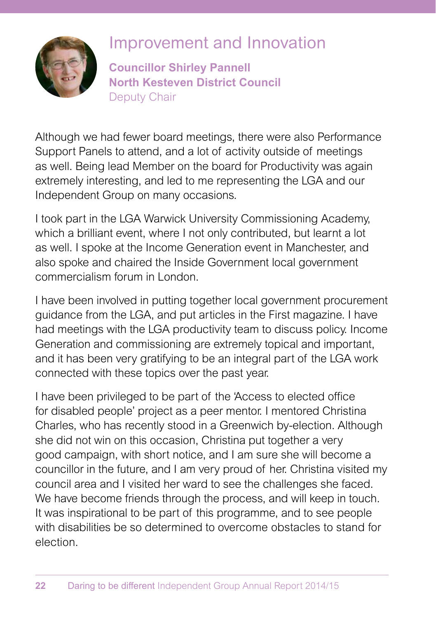

### Improvement and Innovation

**Councillor Shirley Pannell North Kesteven District Council** Deputy Chair

as well. Being lead Member on the board for Productivity was again Although we had fewer board meetings, there were also Performance Support Panels to attend, and a lot of activity outside of meetings extremely interesting, and led to me representing the LGA and our Independent Group on many occasions.

I took part in the LGA Warwick University Commissioning Academy, which a brilliant event, where I not only contributed, but learnt a lot as well. I spoke at the Income Generation event in Manchester, and also spoke and chaired the Inside Government local government commercialism forum in London.

I have been involved in putting together local government procurement guidance from the LGA, and put articles in the First magazine. I have had meetings with the LGA productivity team to discuss policy. Income Generation and commissioning are extremely topical and important, and it has been very gratifying to be an integral part of the LGA work connected with these topics over the past year.

I have been privileged to be part of the 'Access to elected office for disabled people' project as a peer mentor. I mentored Christina Charles, who has recently stood in a Greenwich by-election. Although she did not win on this occasion, Christina put together a very good campaign, with short notice, and I am sure she will become a councillor in the future, and I am very proud of her. Christina visited my council area and I visited her ward to see the challenges she faced. We have become friends through the process, and will keep in touch. It was inspirational to be part of this programme, and to see people with disabilities be so determined to overcome obstacles to stand for election.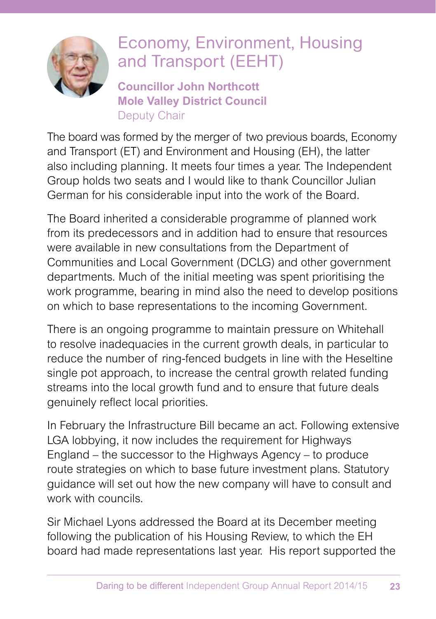

# Economy, Environment, Housing and Transport (EEHT)

**Councillor John Northcott Mole Valley District Council** Deputy Chair

The board was formed by the merger of two previous boards, Economy and Transport (ET) and Environment and Housing (EH), the latter also including planning. It meets four times a year. The Independent Group holds two seats and I would like to thank Councillor Julian German for his considerable input into the work of the Board.

The Board inherited a considerable programme of planned work from its predecessors and in addition had to ensure that resources were available in new consultations from the Department of Communities and Local Government (DCLG) and other government departments. Much of the initial meeting was spent prioritising the work programme, bearing in mind also the need to develop positions on which to base representations to the incoming Government.

There is an ongoing programme to maintain pressure on Whitehall to resolve inadequacies in the current growth deals, in particular to reduce the number of ring-fenced budgets in line with the Heseltine single pot approach, to increase the central growth related funding streams into the local growth fund and to ensure that future deals genuinely reflect local priorities.

In February the Infrastructure Bill became an act. Following extensive LGA lobbying, it now includes the requirement for Highways England – the successor to the Highways Agency – to produce route strategies on which to base future investment plans. Statutory guidance will set out how the new company will have to consult and work with councils.

Sir Michael Lyons addressed the Board at its December meeting following the publication of his Housing Review, to which the EH board had made representations last year. His report supported the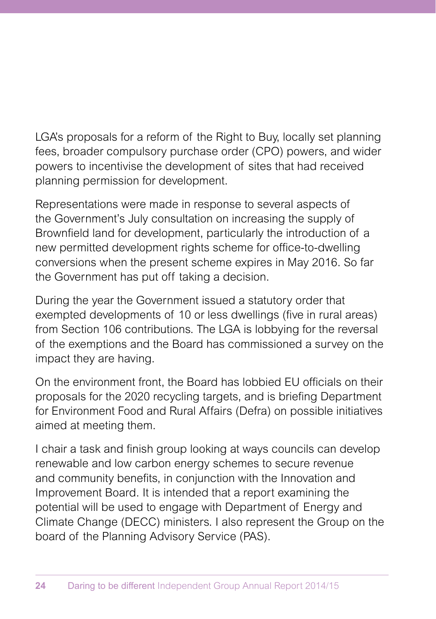LGA's proposals for a reform of the Right to Buy, locally set planning fees, broader compulsory purchase order (CPO) powers, and wider powers to incentivise the development of sites that had received planning permission for development.

Representations were made in response to several aspects of the Government's July consultation on increasing the supply of Brownfield land for development, particularly the introduction of a new permitted development rights scheme for office-to-dwelling conversions when the present scheme expires in May 2016. So far the Government has put off taking a decision.

During the year the Government issued a statutory order that exempted developments of 10 or less dwellings (five in rural areas) from Section 106 contributions. The LGA is lobbying for the reversal of the exemptions and the Board has commissioned a survey on the impact they are having.

On the environment front, the Board has lobbied EU officials on their proposals for the 2020 recycling targets, and is briefing Department for Environment Food and Rural Affairs (Defra) on possible initiatives aimed at meeting them.

I chair a task and finish group looking at ways councils can develop renewable and low carbon energy schemes to secure revenue and community benefits, in conjunction with the Innovation and Improvement Board. It is intended that a report examining the potential will be used to engage with Department of Energy and Climate Change (DECC) ministers. I also represent the Group on the board of the Planning Advisory Service (PAS).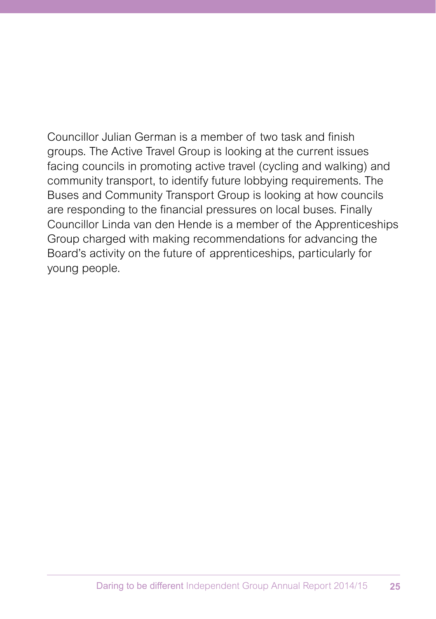Councillor Julian German is a member of two task and finish groups. The Active Travel Group is looking at the current issues facing councils in promoting active travel (cycling and walking) and community transport, to identify future lobbying requirements. The Buses and Community Transport Group is looking at how councils are responding to the financial pressures on local buses. Finally Councillor Linda van den Hende is a member of the Apprenticeships Group charged with making recommendations for advancing the Board's activity on the future of apprenticeships, particularly for young people.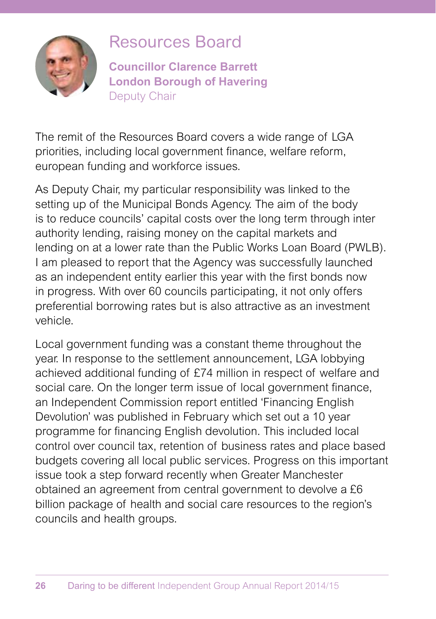

### Resources Board

**Councillor Clarence Barrett London Borough of Havering** Deputy Chair

The remit of the Resources Board covers a wide range of LGA priorities, including local government finance, welfare reform, european funding and workforce issues.

As Deputy Chair, my particular responsibility was linked to the setting up of the Municipal Bonds Agency. The aim of the body is to reduce councils' capital costs over the long term through inter authority lending, raising money on the capital markets and lending on at a lower rate than the Public Works Loan Board (PWLB). I am pleased to report that the Agency was successfully launched as an independent entity earlier this year with the first bonds now in progress. With over 60 councils participating, it not only offers preferential borrowing rates but is also attractive as an investment vehicle.

Local government funding was a constant theme throughout the year. In response to the settlement announcement, LGA lobbying achieved additional funding of £74 million in respect of welfare and social care. On the longer term issue of local government finance, an Independent Commission report entitled 'Financing English Devolution' was published in February which set out a 10 year programme for financing English devolution. This included local control over council tax, retention of business rates and place based budgets covering all local public services. Progress on this important issue took a step forward recently when Greater Manchester obtained an agreement from central government to devolve a £6 billion package of health and social care resources to the region's councils and health groups.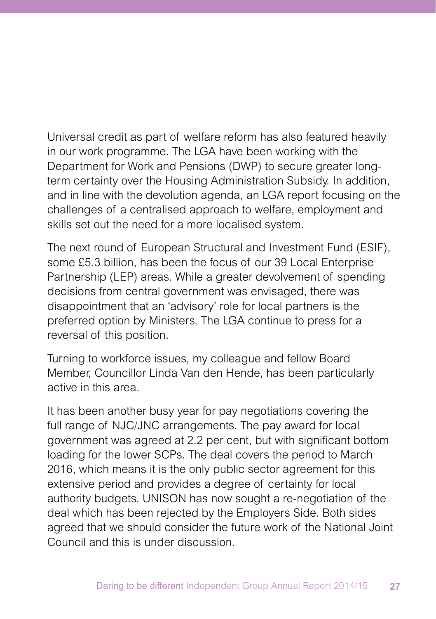Universal credit as part of welfare reform has also featured heavily in our work programme. The LGA have been working with the Department for Work and Pensions (DWP) to secure greater longterm certainty over the Housing Administration Subsidy. In addition, and in line with the devolution agenda, an LGA report focusing on the challenges of a centralised approach to welfare, employment and skills set out the need for a more localised system.

The next round of European Structural and Investment Fund (ESIF), some £5.3 billion, has been the focus of our 39 Local Enterprise Partnership (LEP) areas. While a greater devolvement of spending decisions from central government was envisaged, there was disappointment that an 'advisory' role for local partners is the preferred option by Ministers. The LGA continue to press for a reversal of this position.

Turning to workforce issues, my colleague and fellow Board Member, Councillor Linda Van den Hende, has been particularly active in this area.

It has been another busy year for pay negotiations covering the full range of NJC/JNC arrangements. The pay award for local government was agreed at 2.2 per cent, but with significant bottom loading for the lower SCPs. The deal covers the period to March 2016, which means it is the only public sector agreement for this extensive period and provides a degree of certainty for local authority budgets. UNISON has now sought a re-negotiation of the deal which has been rejected by the Employers Side. Both sides agreed that we should consider the future work of the National Joint Council and this is under discussion.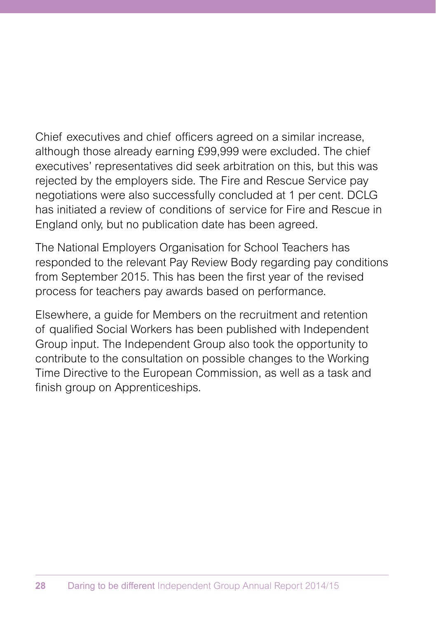Chief executives and chief officers agreed on a similar increase, although those already earning £99,999 were excluded. The chief executives' representatives did seek arbitration on this, but this was rejected by the employers side. The Fire and Rescue Service pay negotiations were also successfully concluded at 1 per cent. DCLG has initiated a review of conditions of service for Fire and Rescue in England only, but no publication date has been agreed.

The National Employers Organisation for School Teachers has responded to the relevant Pay Review Body regarding pay conditions from September 2015. This has been the first year of the revised process for teachers pay awards based on performance.

Elsewhere, a guide for Members on the recruitment and retention of qualified Social Workers has been published with Independent Group input. The Independent Group also took the opportunity to contribute to the consultation on possible changes to the Working Time Directive to the European Commission, as well as a task and finish group on Apprenticeships.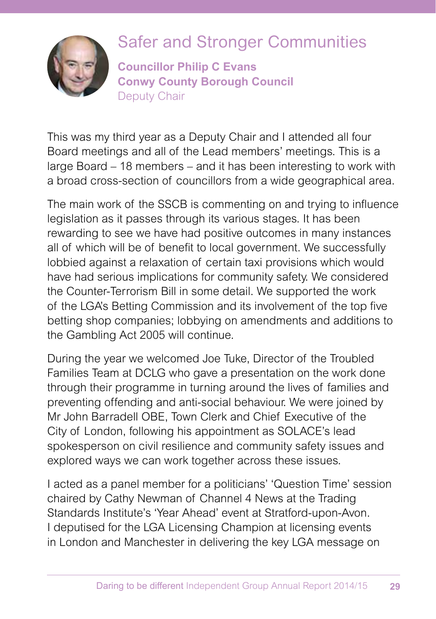

# Safer and Stronger Communities

**Councillor Philip C Evans Conwy County Borough Council** Deputy Chair

This was my third year as a Deputy Chair and I attended all four Board meetings and all of the Lead members' meetings. This is a large Board – 18 members – and it has been interesting to work with a broad cross-section of councillors from a wide geographical area.

The main work of the SSCB is commenting on and trying to influence legislation as it passes through its various stages. It has been rewarding to see we have had positive outcomes in many instances all of which will be of benefit to local government. We successfully lobbied against a relaxation of certain taxi provisions which would have had serious implications for community safety. We considered the Counter-Terrorism Bill in some detail. We supported the work of the LGA's Betting Commission and its involvement of the top five betting shop companies; lobbying on amendments and additions to the Gambling Act 2005 will continue.

During the year we welcomed Joe Tuke, Director of the Troubled Families Team at DCLG who gave a presentation on the work done through their programme in turning around the lives of families and preventing offending and anti-social behaviour. We were joined by Mr John Barradell OBE, Town Clerk and Chief Executive of the City of London, following his appointment as SOLACE's lead spokesperson on civil resilience and community safety issues and explored ways we can work together across these issues.

I acted as a panel member for a politicians' 'Question Time' session chaired by Cathy Newman of Channel 4 News at the Trading Standards Institute's 'Year Ahead' event at Stratford-upon-Avon. I deputised for the LGA Licensing Champion at licensing events in London and Manchester in delivering the key LGA message on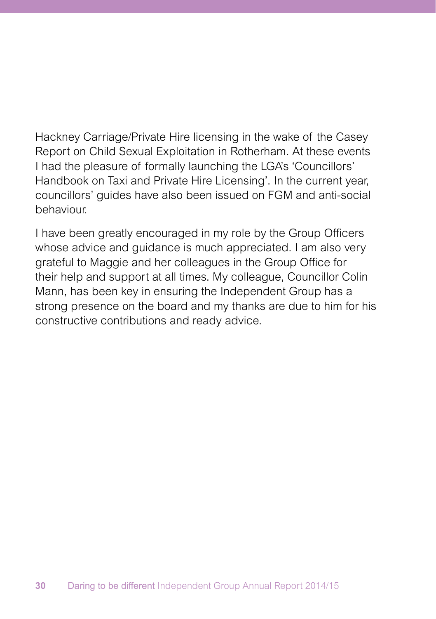Hackney Carriage/Private Hire licensing in the wake of the Casey Report on Child Sexual Exploitation in Rotherham. At these events I had the pleasure of formally launching the LGA's 'Councillors' Handbook on Taxi and Private Hire Licensing'. In the current year, councillors' guides have also been issued on FGM and anti-social behaviour.

I have been greatly encouraged in my role by the Group Officers whose advice and guidance is much appreciated. I am also very grateful to Maggie and her colleagues in the Group Office for their help and support at all times. My colleague, Councillor Colin Mann, has been key in ensuring the Independent Group has a strong presence on the board and my thanks are due to him for his constructive contributions and ready advice.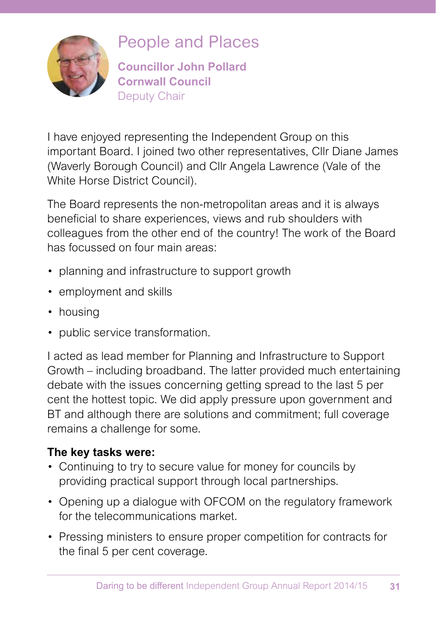

### People and Places

**Councillor John Pollard Cornwall Council** Deputy Chair

I have enjoyed representing the Independent Group on this important Board. I joined two other representatives, Cllr Diane James (Waverly Borough Council) and Cllr Angela Lawrence (Vale of the White Horse District Council).

The Board represents the non-metropolitan areas and it is always beneficial to share experiences, views and rub shoulders with colleagues from the other end of the country! The work of the Board has focussed on four main areas:

- planning and infrastructure to support growth
- employment and skills
- housing
- public service transformation.

I acted as lead member for Planning and Infrastructure to Support Growth – including broadband. The latter provided much entertaining debate with the issues concerning getting spread to the last 5 per cent the hottest topic. We did apply pressure upon government and BT and although there are solutions and commitment; full coverage remains a challenge for some.

### **The key tasks were:**

- Continuing to try to secure value for money for councils by providing practical support through local partnerships.
- Opening up a dialogue with OFCOM on the regulatory framework for the telecommunications market.
- Pressing ministers to ensure proper competition for contracts for the final 5 per cent coverage.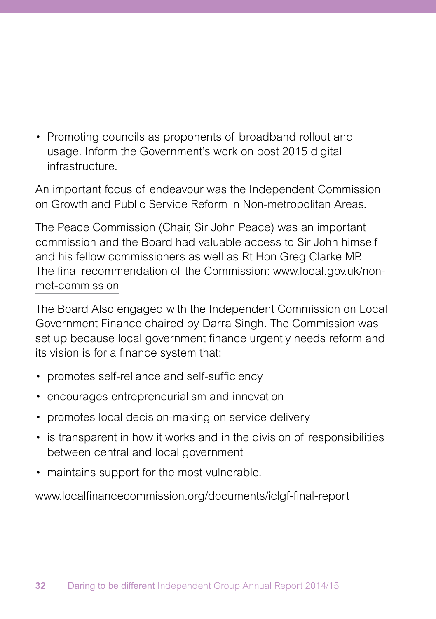• Promoting councils as proponents of broadband rollout and usage. Inform the Government's work on post 2015 digital infrastructure.

An important focus of endeavour was the Independent Commission on Growth and Public Service Reform in Non-metropolitan Areas.

The Peace Commission (Chair, Sir John Peace) was an important commission and the Board had valuable access to Sir John himself and his fellow commissioners as well as Rt Hon Greg Clarke MP. The final recommendation of the Commission: www.local.gov.uk/nonmet-commission

The Board Also engaged with the Independent Commission on Local Government Finance chaired by Darra Singh. The Commission was set up because local government finance urgently needs reform and its vision is for a finance system that:

- promotes self-reliance and self-sufficiency
- encourages entrepreneurialism and innovation
- promotes local decision-making on service delivery
- is transparent in how it works and in the division of responsibilities between central and local government
- maintains support for the most vulnerable.

www.localfinancecommission.org/documents/iclgf-final-report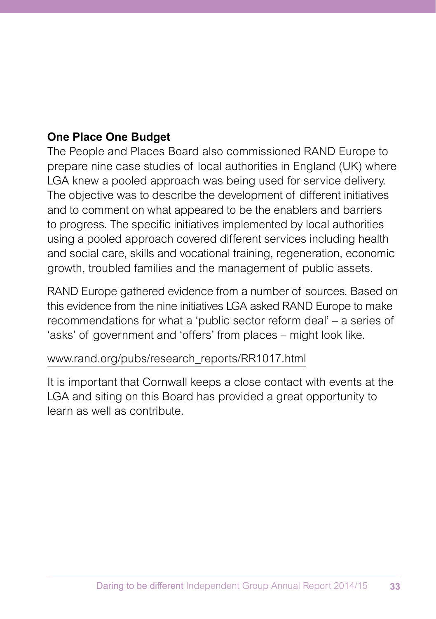### **One Place One Budget**

The People and Places Board also commissioned RAND Europe to prepare nine case studies of local authorities in England (UK) where LGA knew a pooled approach was being used for service delivery. The objective was to describe the development of different initiatives and to comment on what appeared to be the enablers and barriers to progress. The specific initiatives implemented by local authorities using a pooled approach covered different services including health and social care, skills and vocational training, regeneration, economic growth, troubled families and the management of public assets.

RAND Europe gathered evidence from a number of sources. Based on this evidence from the nine initiatives LGA asked RAND Europe to make recommendations for what a 'public sector reform deal' – a series of 'asks' of government and 'offers' from places – might look like.

#### www.rand.org/pubs/research\_reports/RR1017.html

It is important that Cornwall keeps a close contact with events at the LGA and siting on this Board has provided a great opportunity to learn as well as contribute.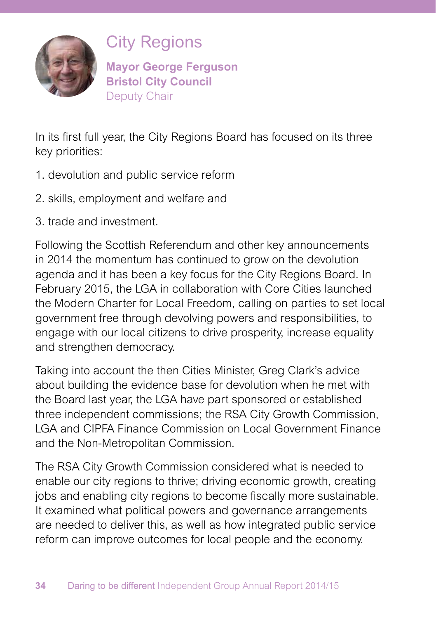

City Regions

**Mayor George Ferguson Bristol City Council** Deputy Chair

In its first full year, the City Regions Board has focused on its three key priorities:

- 1. devolution and public service reform
- 2. skills, employment and welfare and
- 3. trade and investment.

Following the Scottish Referendum and other key announcements in 2014 the momentum has continued to grow on the devolution agenda and it has been a key focus for the City Regions Board. In February 2015, the LGA in collaboration with Core Cities launched the Modern Charter for Local Freedom, calling on parties to set local government free through devolving powers and responsibilities, to engage with our local citizens to drive prosperity, increase equality and strengthen democracy.

Taking into account the then Cities Minister, Greg Clark's advice about building the evidence base for devolution when he met with the Board last year, the LGA have part sponsored or established three independent commissions; the RSA City Growth Commission, LGA and CIPFA Finance Commission on Local Government Finance and the Non-Metropolitan Commission.

The RSA City Growth Commission considered what is needed to enable our city regions to thrive; driving economic growth, creating jobs and enabling city regions to become fiscally more sustainable. It examined what political powers and governance arrangements are needed to deliver this, as well as how integrated public service reform can improve outcomes for local people and the economy.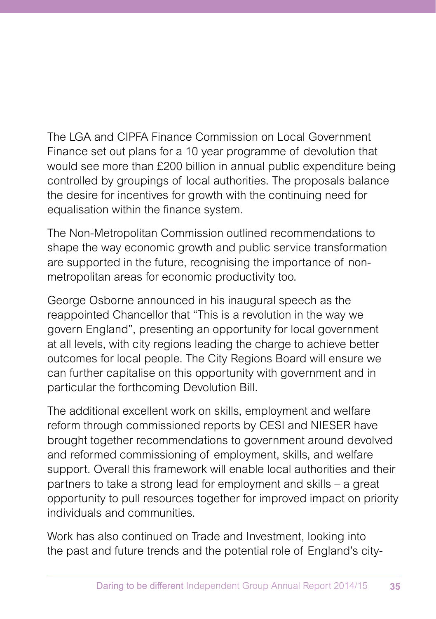The LGA and CIPFA Finance Commission on Local Government Finance set out plans for a 10 year programme of devolution that would see more than £200 billion in annual public expenditure being controlled by groupings of local authorities. The proposals balance the desire for incentives for growth with the continuing need for equalisation within the finance system.

The Non-Metropolitan Commission outlined recommendations to shape the way economic growth and public service transformation are supported in the future, recognising the importance of nonmetropolitan areas for economic productivity too.

George Osborne announced in his inaugural speech as the reappointed Chancellor that "This is a revolution in the way we govern England", presenting an opportunity for local government at all levels, with city regions leading the charge to achieve better outcomes for local people. The City Regions Board will ensure we can further capitalise on this opportunity with government and in particular the forthcoming Devolution Bill.

The additional excellent work on skills, employment and welfare reform through commissioned reports by CESI and NIESER have brought together recommendations to government around devolved and reformed commissioning of employment, skills, and welfare support. Overall this framework will enable local authorities and their partners to take a strong lead for employment and skills – a great opportunity to pull resources together for improved impact on priority individuals and communities.

Work has also continued on Trade and Investment, looking into the past and future trends and the potential role of England's city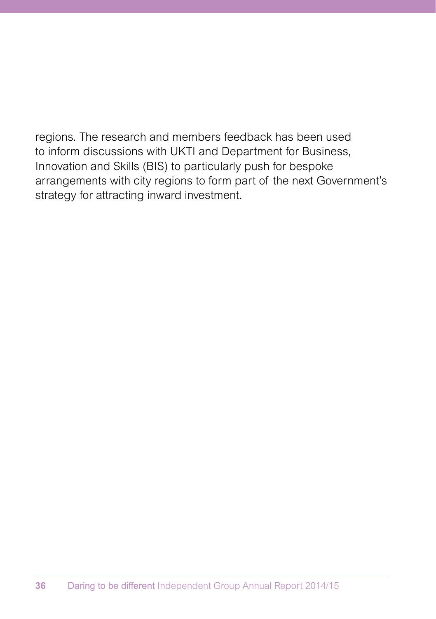regions. The research and members feedback has been used to inform discussions with UKTI and Department for Business, Innovation and Skills (BIS) to particularly push for bespoke arrangements with city regions to form part of the next Government's strategy for attracting inward investment.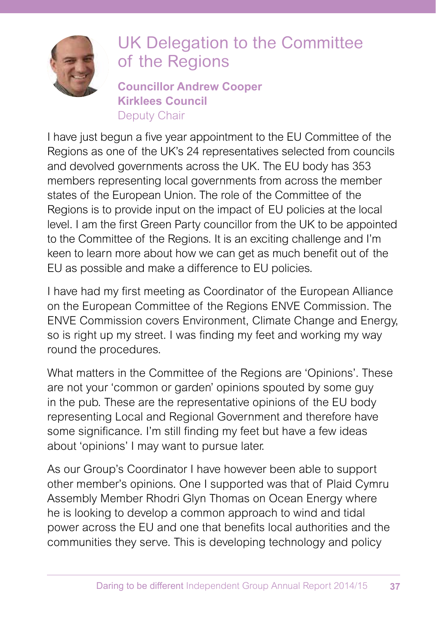

# UK Delegation to the Committee of the Regions

**Councillor Andrew Cooper Kirklees Council** Deputy Chair

I have just begun a five year appointment to the EU Committee of the Regions as one of the UK's 24 representatives selected from councils and devolved governments across the UK. The EU body has 353 members representing local governments from across the member states of the European Union. The role of the Committee of the Regions is to provide input on the impact of EU policies at the local level. I am the first Green Party councillor from the UK to be appointed to the Committee of the Regions. It is an exciting challenge and I'm keen to learn more about how we can get as much benefit out of the EU as possible and make a difference to EU policies.

I have had my first meeting as Coordinator of the European Alliance on the European Committee of the Regions ENVE Commission. The ENVE Commission covers Environment, Climate Change and Energy, so is right up my street. I was finding my feet and working my way round the procedures.

What matters in the Committee of the Regions are 'Opinions'. These are not your 'common or garden' opinions spouted by some guy in the pub. These are the representative opinions of the EU body representing Local and Regional Government and therefore have some significance. I'm still finding my feet but have a few ideas about 'opinions' I may want to pursue later.

As our Group's Coordinator I have however been able to support other member's opinions. One I supported was that of Plaid Cymru Assembly Member Rhodri Glyn Thomas on Ocean Energy where he is looking to develop a common approach to wind and tidal power across the EU and one that benefits local authorities and the communities they serve. This is developing technology and policy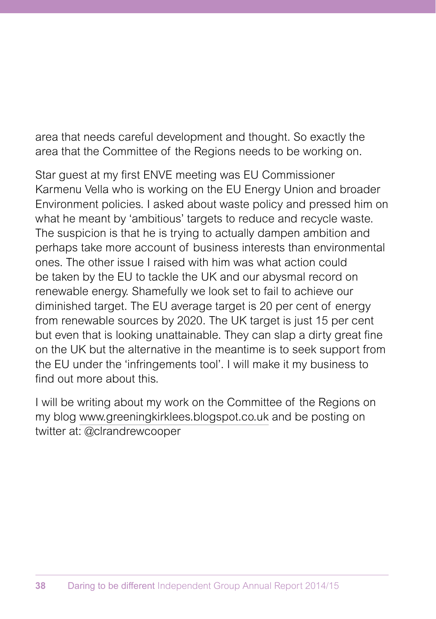area that needs careful development and thought. So exactly the area that the Committee of the Regions needs to be working on.

Star guest at my first ENVE meeting was EU Commissioner Karmenu Vella who is working on the EU Energy Union and broader Environment policies. I asked about waste policy and pressed him on what he meant by 'ambitious' targets to reduce and recycle waste. The suspicion is that he is trying to actually dampen ambition and perhaps take more account of business interests than environmental ones. The other issue I raised with him was what action could be taken by the EU to tackle the UK and our abysmal record on renewable energy. Shamefully we look set to fail to achieve our diminished target. The EU average target is 20 per cent of energy from renewable sources by 2020. The UK target is just 15 per cent but even that is looking unattainable. They can slap a dirty great fine on the UK but the alternative in the meantime is to seek support from the EU under the 'infringements tool'. I will make it my business to find out more about this.

I will be writing about my work on the Committee of the Regions on my blog www.greeningkirklees.blogspot.co.uk and be posting on twitter at: @clrandrewcooper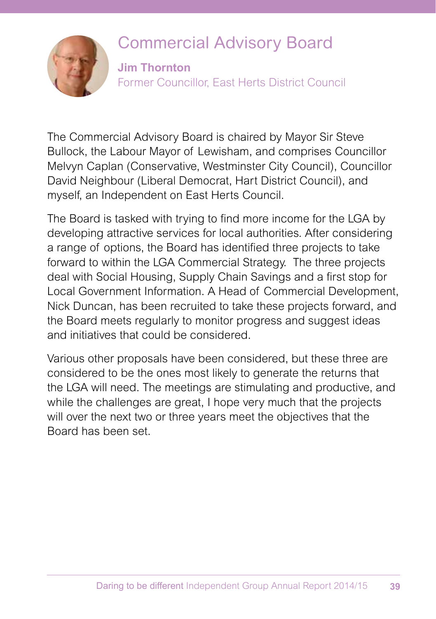### Commercial Advisory Board



**Jim Thornton** Former Councillor, East Herts District Council

The Commercial Advisory Board is chaired by Mayor Sir Steve Bullock, the Labour Mayor of Lewisham, and comprises Councillor Melvyn Caplan (Conservative, Westminster City Council), Councillor David Neighbour (Liberal Democrat, Hart District Council), and myself, an Independent on East Herts Council.

The Board is tasked with trying to find more income for the LGA by developing attractive services for local authorities. After considering a range of options, the Board has identified three projects to take forward to within the LGA Commercial Strategy. The three projects deal with Social Housing, Supply Chain Savings and a first stop for Local Government Information. A Head of Commercial Development, Nick Duncan, has been recruited to take these projects forward, and the Board meets regularly to monitor progress and suggest ideas and initiatives that could be considered.

Various other proposals have been considered, but these three are considered to be the ones most likely to generate the returns that the LGA will need. The meetings are stimulating and productive, and while the challenges are great, I hope very much that the projects will over the next two or three years meet the objectives that the Board has been set.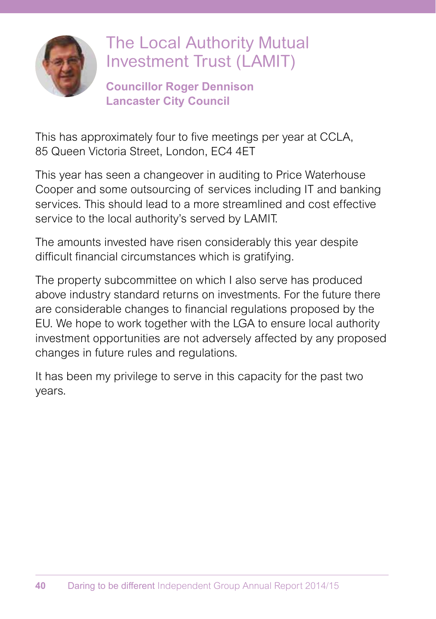

# The Local Authority Mutual Investment Trust (LAMIT)

**Councillor Roger Dennison Lancaster City Council**

This has approximately four to five meetings per year at CCLA, 85 Queen Victoria Street, London, EC4 4ET

This year has seen a changeover in auditing to Price Waterhouse Cooper and some outsourcing of services including IT and banking services. This should lead to a more streamlined and cost effective service to the local authority's served by LAMIT.

The amounts invested have risen considerably this year despite difficult financial circumstances which is gratifying.

The property subcommittee on which I also serve has produced above industry standard returns on investments. For the future there are considerable changes to financial regulations proposed by the EU. We hope to work together with the LGA to ensure local authority investment opportunities are not adversely affected by any proposed changes in future rules and regulations.

It has been my privilege to serve in this capacity for the past two years.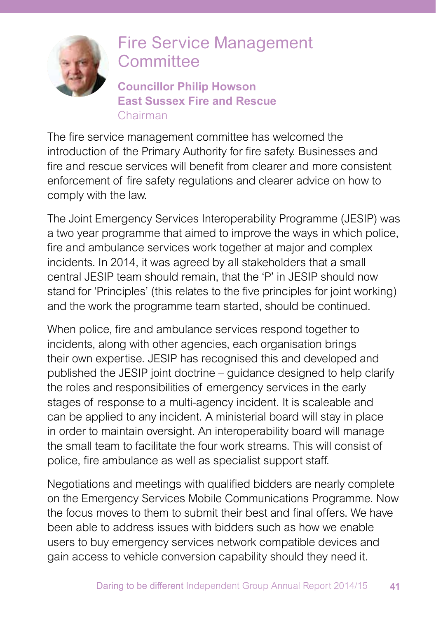

### Fire Service Management **Committee**

**Councillor Philip Howson East Sussex Fire and Rescue**  Chairman

The fire service management committee has welcomed the introduction of the Primary Authority for fire safety. Businesses and fire and rescue services will benefit from clearer and more consistent enforcement of fire safety regulations and clearer advice on how to comply with the law.

The Joint Emergency Services Interoperability Programme (JESIP) was a two year programme that aimed to improve the ways in which police, fire and ambulance services work together at major and complex incidents. In 2014, it was agreed by all stakeholders that a small central JESIP team should remain, that the 'P' in JESIP should now stand for 'Principles' (this relates to the five principles for joint working) and the work the programme team started, should be continued.

When police, fire and ambulance services respond together to incidents, along with other agencies, each organisation brings their own expertise. JESIP has recognised this and developed and published the JESIP joint doctrine – guidance designed to help clarify the roles and responsibilities of emergency services in the early stages of response to a multi-agency incident. It is scaleable and can be applied to any incident. A ministerial board will stay in place in order to maintain oversight. An interoperability board will manage the small team to facilitate the four work streams. This will consist of police, fire ambulance as well as specialist support staff.

Negotiations and meetings with qualified bidders are nearly complete on the Emergency Services Mobile Communications Programme. Now the focus moves to them to submit their best and final offers. We have been able to address issues with bidders such as how we enable users to buy emergency services network compatible devices and gain access to vehicle conversion capability should they need it.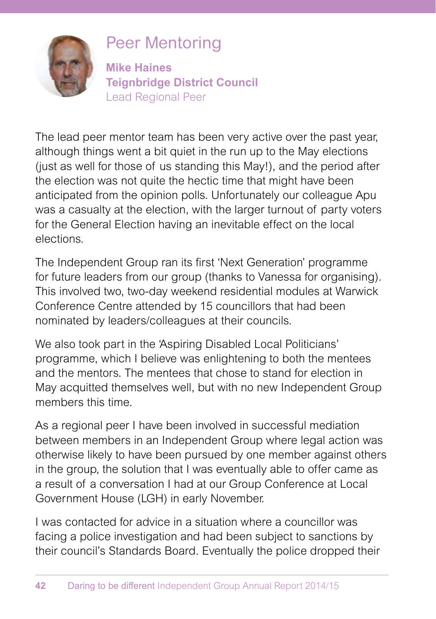

# Peer Mentoring

**Mike Haines Teignbridge District Council**  Lead Regional Peer

The lead peer mentor team has been very active over the past year, although things went a bit quiet in the run up to the May elections (just as well for those of us standing this May!), and the period after the election was not quite the hectic time that might have been anticipated from the opinion polls. Unfortunately our colleague Apu was a casualty at the election, with the larger turnout of party voters for the General Election having an inevitable effect on the local elections.

The Independent Group ran its first 'Next Generation' programme for future leaders from our group (thanks to Vanessa for organising). This involved two, two-day weekend residential modules at Warwick Conference Centre attended by 15 councillors that had been nominated by leaders/colleagues at their councils.

We also took part in the 'Aspiring Disabled Local Politicians' programme, which I believe was enlightening to both the mentees and the mentors. The mentees that chose to stand for election in May acquitted themselves well, but with no new Independent Group members this time.

As a regional peer I have been involved in successful mediation between members in an Independent Group where legal action was otherwise likely to have been pursued by one member against others in the group, the solution that I was eventually able to offer came as a result of a conversation I had at our Group Conference at Local Government House (LGH) in early November.

I was contacted for advice in a situation where a councillor was facing a police investigation and had been subject to sanctions by their council's Standards Board. Eventually the police dropped their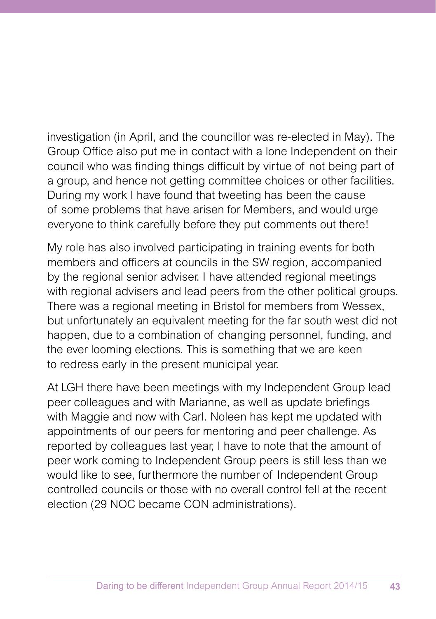investigation (in April, and the councillor was re-elected in May). The Group Office also put me in contact with a lone Independent on their council who was finding things difficult by virtue of not being part of a group, and hence not getting committee choices or other facilities. During my work I have found that tweeting has been the cause of some problems that have arisen for Members, and would urge everyone to think carefully before they put comments out there!

My role has also involved participating in training events for both members and officers at councils in the SW region, accompanied by the regional senior adviser. I have attended regional meetings with regional advisers and lead peers from the other political groups. There was a regional meeting in Bristol for members from Wessex, but unfortunately an equivalent meeting for the far south west did not happen, due to a combination of changing personnel, funding, and the ever looming elections. This is something that we are keen to redress early in the present municipal year.

At LGH there have been meetings with my Independent Group lead peer colleagues and with Marianne, as well as update briefings with Maggie and now with Carl. Noleen has kept me updated with appointments of our peers for mentoring and peer challenge. As reported by colleagues last year, I have to note that the amount of peer work coming to Independent Group peers is still less than we would like to see, furthermore the number of Independent Group controlled councils or those with no overall control fell at the recent election (29 NOC became CON administrations).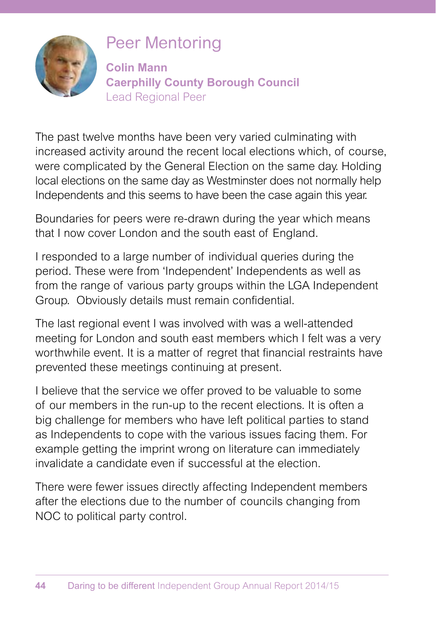

# Peer Mentoring

**Colin Mann Caerphilly County Borough Council** Lead Regional Peer

The past twelve months have been very varied culminating with increased activity around the recent local elections which, of course, were complicated by the General Election on the same day. Holding local elections on the same day as Westminster does not normally help Independents and this seems to have been the case again this year.

Boundaries for peers were re-drawn during the year which means that I now cover London and the south east of England.

I responded to a large number of individual queries during the period. These were from 'Independent' Independents as well as from the range of various party groups within the LGA Independent Group. Obviously details must remain confidential.

The last regional event I was involved with was a well-attended meeting for London and south east members which I felt was a very worthwhile event. It is a matter of regret that financial restraints have prevented these meetings continuing at present.

I believe that the service we offer proved to be valuable to some of our members in the run-up to the recent elections. It is often a big challenge for members who have left political parties to stand as Independents to cope with the various issues facing them. For example getting the imprint wrong on literature can immediately invalidate a candidate even if successful at the election.

There were fewer issues directly affecting Independent members after the elections due to the number of councils changing from NOC to political party control.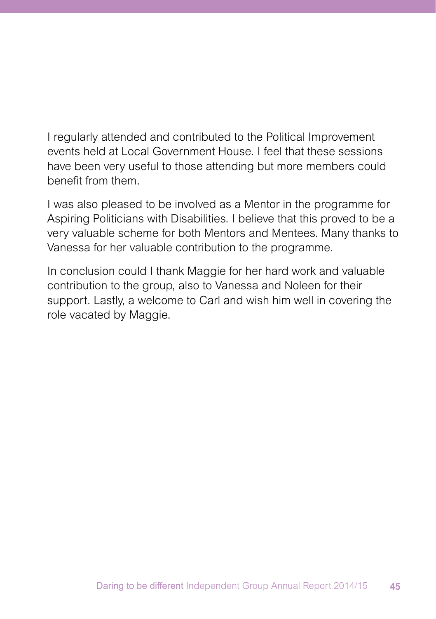I regularly attended and contributed to the Political Improvement events held at Local Government House. I feel that these sessions have been very useful to those attending but more members could benefit from them.

I was also pleased to be involved as a Mentor in the programme for Aspiring Politicians with Disabilities. I believe that this proved to be a very valuable scheme for both Mentors and Mentees. Many thanks to Vanessa for her valuable contribution to the programme.

In conclusion could I thank Maggie for her hard work and valuable contribution to the group, also to Vanessa and Noleen for their support. Lastly, a welcome to Carl and wish him well in covering the role vacated by Maggie.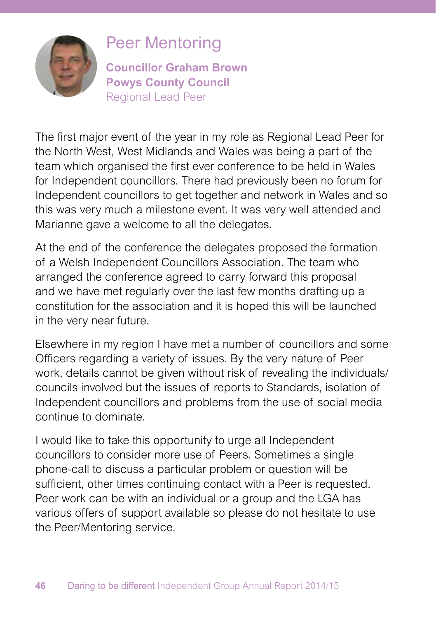

### Peer Mentoring

**Councillor Graham Brown Powys County Council** Regional Lead Peer

The first major event of the year in my role as Regional Lead Peer for the North West, West Midlands and Wales was being a part of the team which organised the first ever conference to be held in Wales for Independent councillors. There had previously been no forum for Independent councillors to get together and network in Wales and so this was very much a milestone event. It was very well attended and Marianne gave a welcome to all the delegates.

At the end of the conference the delegates proposed the formation of a Welsh Independent Councillors Association. The team who arranged the conference agreed to carry forward this proposal and we have met regularly over the last few months drafting up a constitution for the association and it is hoped this will be launched in the very near future.

Elsewhere in my region I have met a number of councillors and some Officers regarding a variety of issues. By the very nature of Peer work, details cannot be given without risk of revealing the individuals/ councils involved but the issues of reports to Standards, isolation of Independent councillors and problems from the use of social media continue to dominate.

I would like to take this opportunity to urge all Independent councillors to consider more use of Peers. Sometimes a single phone-call to discuss a particular problem or question will be sufficient, other times continuing contact with a Peer is requested. Peer work can be with an individual or a group and the LGA has various offers of support available so please do not hesitate to use the Peer/Mentoring service.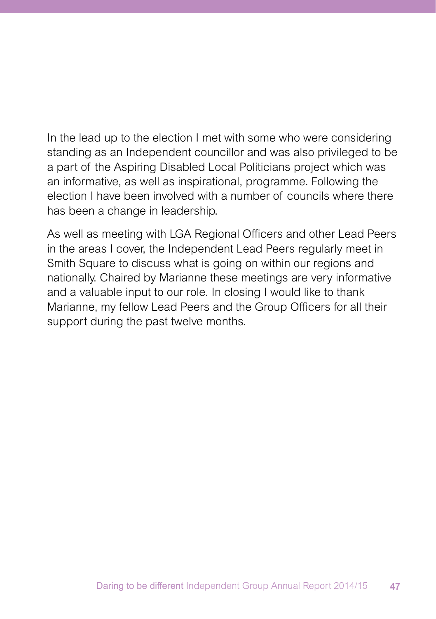In the lead up to the election I met with some who were considering standing as an Independent councillor and was also privileged to be a part of the Aspiring Disabled Local Politicians project which was an informative, as well as inspirational, programme. Following the election I have been involved with a number of councils where there has been a change in leadership.

As well as meeting with LGA Regional Officers and other Lead Peers in the areas I cover, the Independent Lead Peers regularly meet in Smith Square to discuss what is going on within our regions and nationally. Chaired by Marianne these meetings are very informative and a valuable input to our role. In closing I would like to thank Marianne, my fellow Lead Peers and the Group Officers for all their support during the past twelve months.